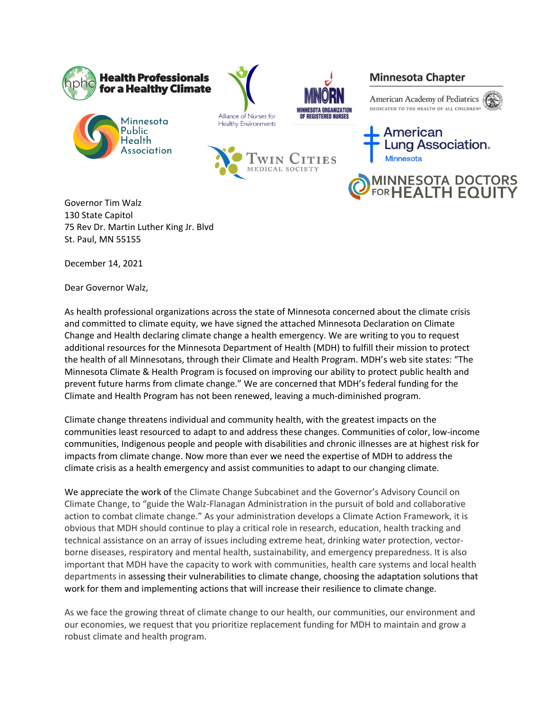







## **Minnesota Chapter**







American ung Association. **Minnesota** 

**1INNESOTA DOCTORS<br>¤RHEALTH EQUITY** 

Governor Tim Walz 130 State Capitol 75 Rev Dr. Martin Luther King Jr. Blvd St. Paul, MN 55155

December 14, 2021

Dear Governor Walz,

As health professional organizations across the state of Minnesota concerned about the climate crisis and committed to climate equity, we have signed the attached Minnesota Declaration on Climate Change and Health declaring climate change a health emergency. We are writing to you to request additional resources for the Minnesota Department of Health (MDH) to fulfill their mission to protect the health of all Minnesotans, through their Climate and Health Program. MDH's web site states: "The Minnesota Climate & Health Program is focused on improving our ability to protect public health and prevent future harms from climate change." We are concerned that MDH's federal funding for the Climate and Health Program has not been renewed, leaving a much-diminished program.

Climate change threatens individual and community health, with the greatest impacts on the communities least resourced to adapt to and address these changes. Communities of color, low-income communities, Indigenous people and people with disabilities and chronic illnesses are at highest risk for impacts from climate change. Now more than ever we need the expertise of MDH to address the climate crisis as a health emergency and assist communities to adapt to our changing climate.

We appreciate the work of the Climate Change Subcabinet and the Governor's Advisory Council on Climate Change, to "guide the Walz-Flanagan Administration in the pursuit of bold and collaborative action to combat climate change." As your administration develops a Climate Action Framework, it is obvious that MDH should continue to play a critical role in research, education, health tracking and technical assistance on an array of issues including extreme heat, drinking water protection, vectorborne diseases, respiratory and mental health, sustainability, and emergency preparedness. It is also important that MDH have the capacity to work with communities, health care systems and local health departments in assessing their vulnerabilities to climate change, choosing the adaptation solutions that work for them and implementing actions that will increase their resilience to climate change.

As we face the growing threat of climate change to our health, our communities, our environment and our economies, we request that you prioritize replacement funding for MDH to maintain and grow a robust climate and health program.